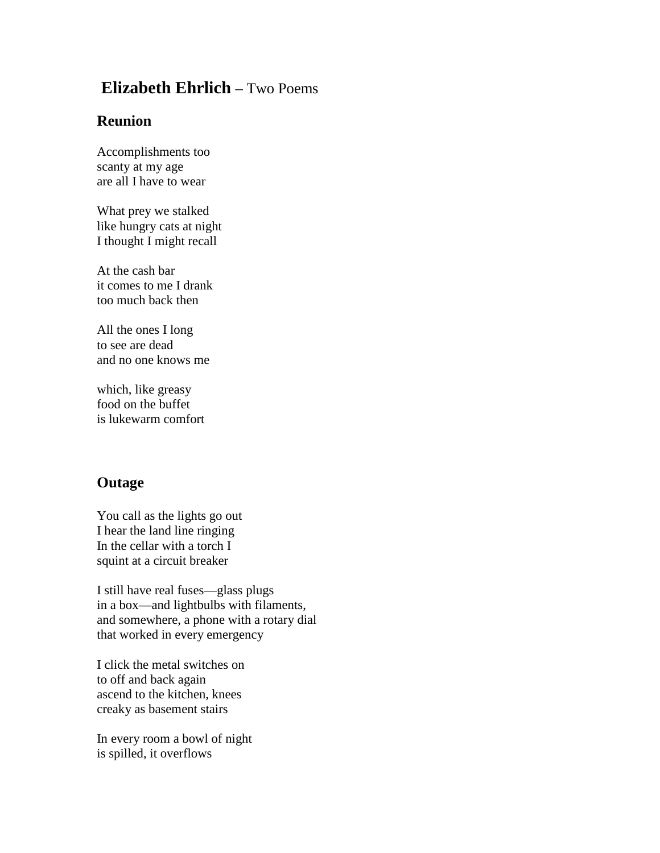## **Elizabeth Ehrlich** – Two Poems

## **Reunion**

Accomplishments too scanty at my age are all I have to wear

What prey we stalked like hungry cats at night I thought I might recall

At the cash bar it comes to me I drank too much back then

All the ones I long to see are dead and no one knows me

which, like greasy food on the buffet is lukewarm comfort

## **Outage**

You call as the lights go out I hear the land line ringing In the cellar with a torch I squint at a circuit breaker

I still have real fuses—glass plugs in a box—and lightbulbs with filaments, and somewhere, a phone with a rotary dial that worked in every emergency

I click the metal switches on to off and back again ascend to the kitchen, knees creaky as basement stairs

In every room a bowl of night is spilled, it overflows